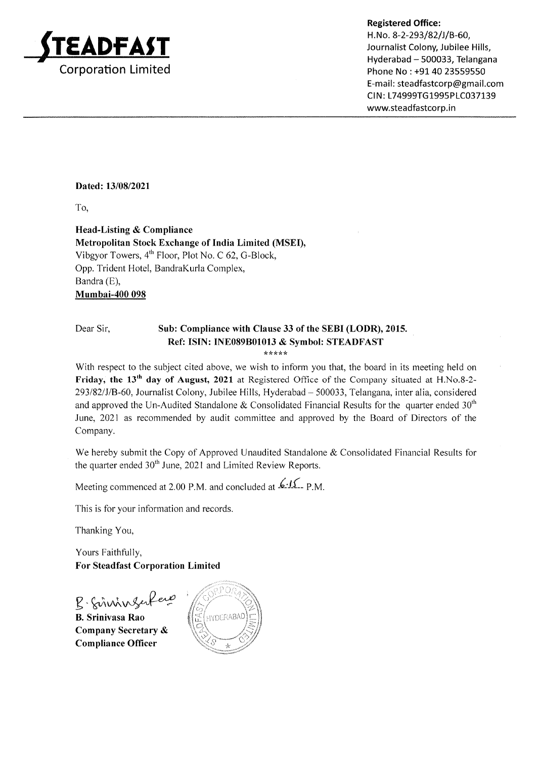

### Registered Office:

H.No. 8-2-293/82/J/B-60, Journalist Colony, Jubilee Hills, Hyderabad - 500033, Telangana Phone No : +91 40 23559550 E-mail: steadfastcorp@gmail.com CIN: L74999TG1995PLC037139 www.steadfastcorp.in

### Dated: 13/08/2021

To,

Head-Listing & Compliance Metropolitan Stock Exchange of India Limited (MSEI), Vibgyor Towers,  $4^{th}$  Floor, Plot No. C 62, G-Block, Opp. Trident Hotel, BandraKurla Complex, Bandra (E), Mumbai-400 098

### Dear Sir, Sub: Compliance with Clause 33 of the SEBI (LODR), 2015. Ref: ISIN: INE089B01013 & Symbol: STEADFAST

\*\*\*\*\*

With respect to the subject cited above, we wish to inform you that, the board in its meeting held on Friday, the 13<sup>th</sup> day of August, 2021 at Registered Office of the Company situated at H.No.8-2-293/82/J/B-60, Journalist Colony, Jubilee Hills, Hyderabad - 500033, Telangana, inter alia, considered and approved the Un-Audited Standalone & Consolidated Financial Results for the quarter ended  $30<sup>th</sup>$ June, 2021 as recommended by audit committee and approved by the Board of Directors of the Company.

We hereby submit the Copy of Approved Unaudited Standalone & Consolidated Financial Results for the quarter ended  $30<sup>th</sup>$  June, 2021 and Limited Review Reports.

Meeting commenced at 2.00 P.M. and concluded at  $\mathcal{L}1\mathcal{L}$ - P.M.

This is for your information and records.

Thanking You,

Yours Faithfully, For Steadfast Corporation Limited

B. Sinningerfere B. Srinivasa Rao  $\circ$ 

Company Secretary & Compliance Officer

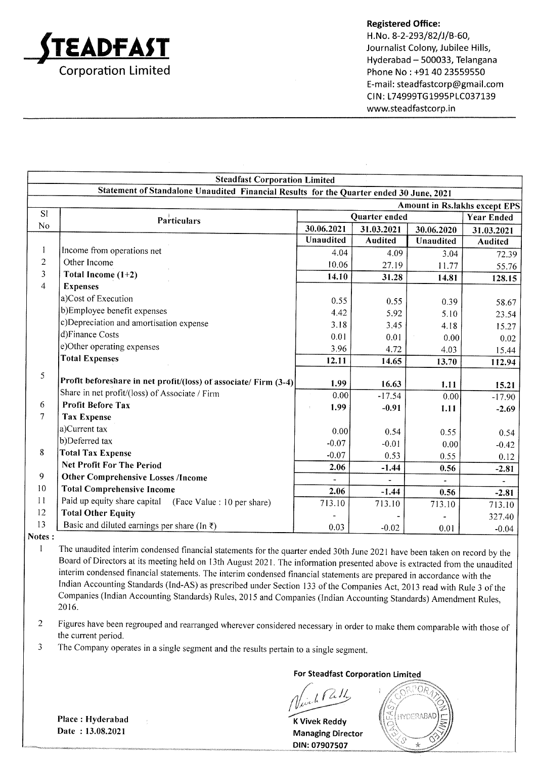

### Registered Office:

H.No. 8-2-293/82/J/B-60, Journalist Colony, Jubilee Hills, Hyderabad - 500033, Telangana Phone No : +91 40 23559550 E-mail: steadfastcorp@gmail.com CIN: L74999TG1995PLC037139 www.steadfastcorp.in

|                         | <b>Steadfast Corporation Limited</b>                                                    |               |                |            |                               |
|-------------------------|-----------------------------------------------------------------------------------------|---------------|----------------|------------|-------------------------------|
|                         | Statement of Standalone Unaudited Financial Results for the Quarter ended 30 June, 2021 |               |                |            |                               |
|                         |                                                                                         |               |                |            | Amount in Rs.lakhs except EPS |
| <b>SI</b>               | <b>Particulars</b>                                                                      | Quarter ended |                |            | <b>Year Ended</b>             |
| No                      |                                                                                         | 30.06.2021    | 31.03.2021     | 30.06.2020 | 31.03.2021                    |
|                         |                                                                                         | Unaudited     | <b>Audited</b> | Unaudited  | Audited                       |
| 1                       | Income from operations net                                                              | 4.04          | 4.09           | 3.04       | 72.39                         |
| $\overline{c}$          | Other Income                                                                            | 10.06         | 27.19          | 11.77      | 55.76                         |
| $\overline{\mathbf{3}}$ | Total Income $(1+2)$                                                                    | 14.10         | 31.28          | 14.81      | 128.15                        |
| $\overline{4}$          | <b>Expenses</b>                                                                         |               |                |            |                               |
|                         | a)Cost of Execution                                                                     | 0.55          | 0.55           | 0.39       | 58.67                         |
|                         | b)Employee benefit expenses                                                             | 4.42          | 5.92           | 5.10       | 23.54                         |
|                         | c)Depreciation and amortisation expense                                                 | 3.18          | 3.45           | 4.18       | 15.27                         |
|                         | d)Finance Costs                                                                         | 0.01          | 0.01           | 0.00       | 0.02                          |
|                         | e)Other operating expenses                                                              | 3.96          | 4.72           | 4.03       | 15.44                         |
|                         | <b>Total Expenses</b>                                                                   | 12.11         | 14.65          | 13.70      | 112.94                        |
| 5                       |                                                                                         |               |                |            |                               |
|                         | Profit beforeshare in net profit/(loss) of associate/ Firm (3-4)                        | 1.99          | 16.63          | 1.11       | 15.21                         |
|                         | Share in net profit/(loss) of Associate / Firm                                          | 0.00          | $-17.54$       | 0.00       | $-17.90$                      |
| 6                       | <b>Profit Before Tax</b>                                                                | 1.99          | $-0.91$        | 1.11       | $-2.69$                       |
| 7                       | <b>Tax Expense</b>                                                                      |               |                |            |                               |
|                         | a)Current tax                                                                           | 0.00          | 0.54           | 0.55       | 0.54                          |
|                         | b)Deferred tax                                                                          | $-0.07$       | $-0.01$        | 0.00       | $-0.42$                       |
| 8                       | <b>Total Tax Expense</b>                                                                | $-0.07$       | 0.53           | 0.55       | 0.12                          |
|                         | <b>Net Profit For The Period</b>                                                        | 2.06          | $-1.44$        | 0.56       | $-2.81$                       |
| 9                       | <b>Other Comprehensive Losses /Income</b>                                               |               |                |            | $\tilde{\phantom{a}}$         |
| 10                      | <b>Total Comprehensive Income</b>                                                       | 2.06          | $-1.44$        | 0.56       | $-2.81$                       |
| 11                      | Paid up equity share capital (Face Value : 10 per share)                                | 713.10        | 713.10         | 713.10     | 713.10                        |
| 12                      | <b>Total Other Equity</b>                                                               |               |                |            | 327.40                        |
| 13                      | Basic and diluted earnings per share (In $\bar{z}$ )                                    | 0.03          | $-0.02$        | 0.01       | $-0.04$                       |

Notes :

I The unaudited interim condensed financial statements for the quarter ended 30th June 2021 have been taken on record by the Board of Directors at its meeting held on 13th August 2021. The information presented above is extracted from the unaudited interim condensed financial statements. The interim condensed financial statements are prepared in accordance with the Indian Accounting Standards (lnd-AS) as prescribed under Section 133 of the Companies Act,2013 read with Rule 3 of the Companies (lndian Accounting Standards) Rules, 20 l5 and Companies (lndian Accounting Standards) Amendmenr Rules, 20t6.

2 Figures have been regrouped and rearranged wherever considered necessary in order to make them comparable with those of the current period.

3 The company operates in a single segment and the results pertain to a single segment.

For Steadfast Corporation Limited

 $\sqrt{d}$ 

<sup>K</sup>Vivek Reddy Managing Director DIN: 07907507



Place : Hyderabad Date : 13.08.2021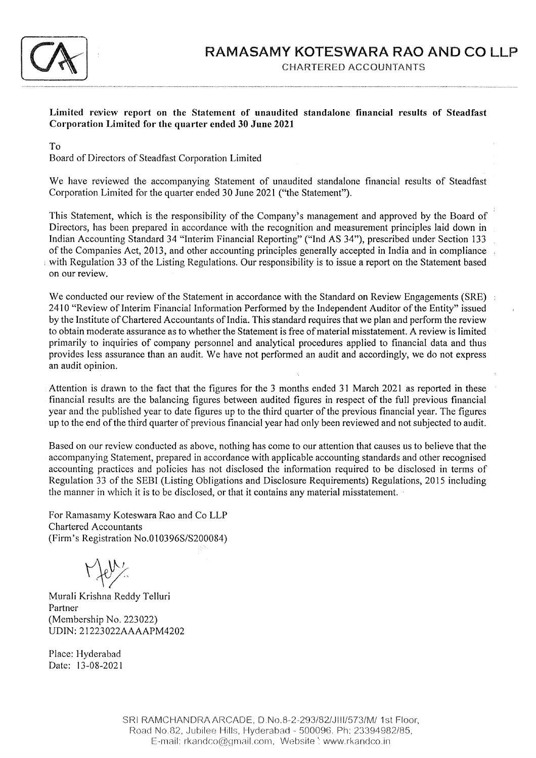

Limited review report on the Statement of unaudited standalone financial results of Steadfast Corporation Limited for the quarter ended 30 June <sup>2021</sup>

To

Board of Directors of Steadfast Corporation Limited

We have reviewed the accompanying Statement of unaudited standalone financial results of Steadfast Corporation Limited for the quarter ended 30 June 2021 ('the Statement").

This Statement, which is the responsibility of the Company's management and approved by the Board of Directors, has been prepared in accordance with the recognition and measurement principles laid down in Indian Accounting Standard 34 "lnterim Financial Reporting" ("lnd AS 34"), prescribed under Section <sup>133</sup> of the Companies Act,20l3, and other accounting principles generally accepted in India and in compliance with Regulation 33 of the Listing Regulations. Our responsibility is to issue a report on the Statement based on our review.

We conducted our review of the Statement in accordance with the Standard on Review Engagements (SRE) and 2410 "Review of Interim Financial Information Performed by the Independent Auditor of the Entity" issued by the Institute of Chartered Accountants of India. This standard requires that we plan and perform the review to obtain moderate assurance as to whether the Statement is free of material misstatement. A review is limited primarily to inquiries of company personnel and analytical procedures applied to financial data and thus provides less assurance than an audit. We have not performed an audit and accordingly, we do not express an audit opinion.

Attention is drawn to the fact that the figures for the 3 months ended 31 March 2021 as reported in these financial results are the balancing figures between audited figures in respect of the full previous financial year and the published year to date figures up to the third quarter of the previous financial year. The figures up to the end of the third quarter of previous financial year had only been reviewed and not subjected to audit.

Based on our review conducted as above, nothing has come to our attention that causes us to believe that the accompanying Statement, prepared in accordance with applicable accounting standards and other recognised accounting practices and policies has not disclosed the information required to be disclosed in terms of Regulation 33 of the SEBI (Listing Obligations and Disclosure Requirements) Regulations, 2015 including the manner in which it is to be disclosed, or that it contains any material misstatement.

For Ramasamy Koteswara Rao and Co LLP Chartered Accountants (Firm's Registration No.0 I 03965/5200084)

 $\Gamma$  for  $\chi$ 

Murali Krishna Reddy Telluri Partner (Membership No. 223022) UDIN: 21223022AAAAPM4202

Place: Hyderabad Date: l3-08-2021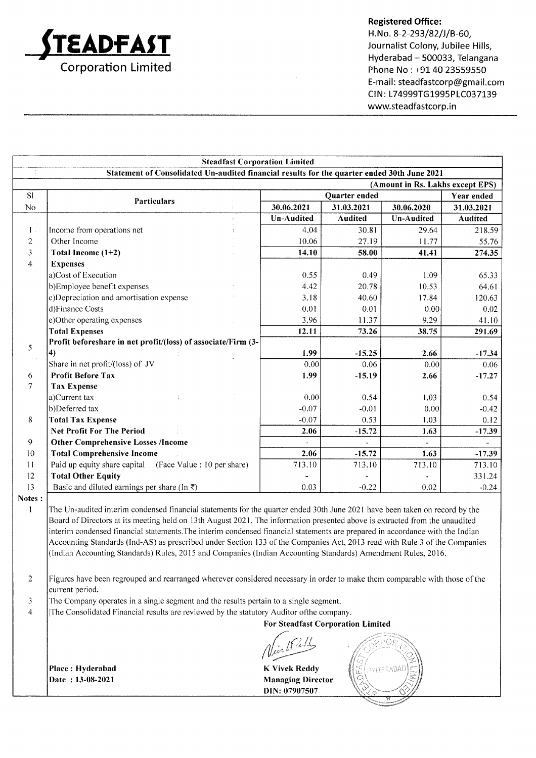

### Registered Office:

H. No. 8-2-293/82/J/B-60, Journalist Colony, Jubilee Hills, Hyderabad - 500033, Telangana Phone No : +91 40 23559550 E-mail : steadfastcorp@gmail.com CIN: L74999TG1995PLC037139 www.steadfastcorp.in

|                | <b>Steadfast Corporation Limited</b>                                                                                        |                   |                          |                                  |                          |
|----------------|-----------------------------------------------------------------------------------------------------------------------------|-------------------|--------------------------|----------------------------------|--------------------------|
|                | Statement of Consolidated Un-audited financial results for the quarter ended 30th June 2021                                 |                   |                          |                                  |                          |
|                |                                                                                                                             |                   |                          | (Amount in Rs. Lakhs except EPS) |                          |
| <b>SI</b>      | <b>Particulars</b>                                                                                                          | Quarter ended     |                          |                                  | Year ended               |
| No             |                                                                                                                             | 30.06.2021        | 31.03.2021               | 30.06.2020                       | 31.03.2021               |
|                |                                                                                                                             | <b>Un-Audited</b> | <b>Audited</b>           | <b>Un-Audited</b>                | Audited                  |
| $1$ .          | Income from operations net                                                                                                  | 4.04              | 30.81                    | 29.64                            | 218.59                   |
| $\overline{2}$ | Other Income                                                                                                                | 10.06             | 27.19                    | 11.77                            | 55.76                    |
| 3              | Total Income $(1+2)$                                                                                                        | 14.10             | 58.00                    | 41.41                            | 274.35                   |
| $\overline{4}$ | <b>Expenses</b>                                                                                                             |                   |                          |                                  |                          |
|                | a)Cost of Execution                                                                                                         | 0.55              | 0.49                     | 1.09                             | 65.33                    |
|                | b)Employee benefit expenses                                                                                                 | 4.42              | 20.78                    | 10.53                            | 64.61                    |
|                | c)Depreciation and amortisation expense                                                                                     | 3.18              | 40.60                    | 17.84                            | 120.63                   |
|                | d)Finance Costs                                                                                                             | 0.01              | 0.01                     | 0.00                             | 0.02                     |
|                | e)Other operating expenses                                                                                                  | 3.96              | 11.37                    | 9.29                             | 41.10                    |
|                | <b>Total Expenses</b>                                                                                                       | 12.11             | 73.26                    | 38.75                            | 291.69                   |
| 5              | Profit beforeshare in net profit/(loss) of associate/Firm (3-                                                               |                   |                          |                                  |                          |
|                | 4)                                                                                                                          | 1.99              | $-15.25$                 | 2.66                             | $-17.34$                 |
|                | Share in net profit/(loss) of JV                                                                                            | 0.00              | 0.06                     | 0.00                             | 0.06                     |
| 6              | <b>Profit Before Tax</b>                                                                                                    | 1.99              | $-15.19$                 | 2.66                             | $-17.27$                 |
| 7              | <b>Tax Expense</b>                                                                                                          |                   |                          |                                  |                          |
|                | a)Current tax                                                                                                               | 0.00              | 0.54                     | 1.03                             | 0.54                     |
|                | b)Deferred tax                                                                                                              | $-0.07$           | $-0.01$                  | 0.00                             | $-0.42$                  |
| 8              | <b>Total Tax Expense</b>                                                                                                    | $-0.07$           | 0.53                     | 1.03                             | 0.12                     |
|                | <b>Net Profit For The Period</b>                                                                                            | 2.06              | $-15.72$                 | 1.63                             | $-17.39$                 |
| 9              | <b>Other Comprehensive Losses /Income</b>                                                                                   |                   | $\overline{\phantom{a}}$ |                                  | $\overline{\phantom{a}}$ |
| 10             | <b>Total Comprehensive Income</b>                                                                                           | 2.06              | $-15.72$                 | 1.63                             | $-17.39$                 |
| 11             | Paid up equity share capital (Face Value : 10 per share)                                                                    | 713.10            | 713.10                   | 713.10                           | 713.10                   |
| 12             | <b>Total Other Equity</b>                                                                                                   |                   |                          |                                  | 331.24                   |
| 13             | Basic and diluted earnings per share (In $\bar{x}$ )                                                                        | 0.03              | $-0.22$                  | 0.02                             | $-0.24$                  |
| Notes:         |                                                                                                                             |                   |                          |                                  |                          |
|                | The Un-audited interim condensed financial statements for the quarter ended 30th June 2021 have been taken on record by the |                   |                          |                                  |                          |

The Un-audited interim condensed financial statements for the quarter ended 30th June 2021 have been taken on record by the Board of Directors at its meeting held on 13th August 2021. The information presented above is extracted from the unaudited interim condensed financial statements.The interim condensed financial statements are prepared in accordance with the Indian Accounting Standards (lnd-AS) as prescribed under Section 133 of the Companies Act,20l3 read with Rule 3 of the Companies (lndian Accounting Standards) Rules, 2015 and Companies (lndian Accounting Standards) Amendment Rules, 2016.

2 Figures have been regrouped and rearranged wherever considered necessary in order to make them comparable with those of the current period.

3 The Company operates in a single segment and the results pertain to a single segment.

4 lThe Consolidated Financial results are reviewed by the statutory Auditor ofthe company.

For Steadfast Corporation Limited

Place: Hyderabad Date : 13-08-2021

Managing Director DIN: 07907507

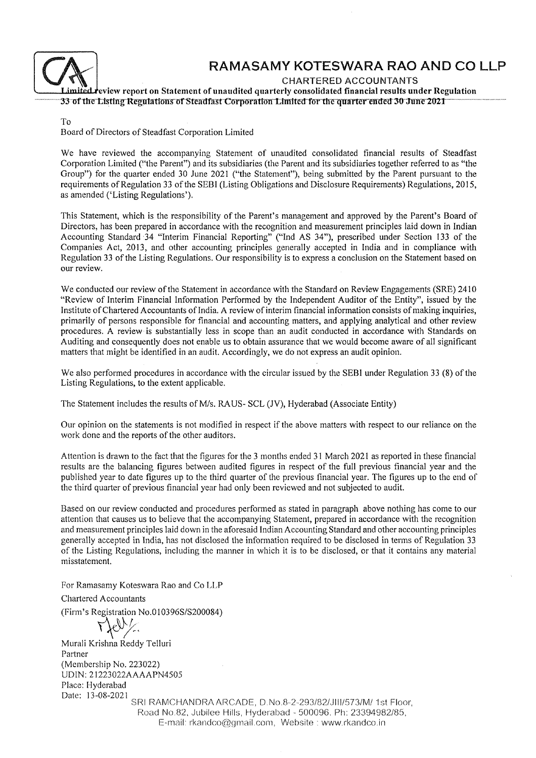

# RAMASAMY KOTESWARA RAO AND CO LLP

CHARTERED ACCOUNTANTS

Limited review report on Statement of unaudited quarterly consolidated financial results under Regulation<br>33-of the Listing Regulations of Steadfast Corporation Limited for the quarter ended 30-June 2021

To

Board of Directors of Steadfast Corporation Limited

We have reviewed the accompanying Statement of unaudited consolidated financial results of Steadfast Corporation Limited ("the Parent") and its subsidiaries (the Parent and its subsidiaries together referred to as "the Group") for the quarter ended 30 June 2021 ("the Statement"), being submitted by the Parent pursuant to the requirements of Regulation 33 of the SEBI (Listing Obligations and Disclosure Requirements) Regulations,20l5, as amended ('Listing Regulations'),

This Statement, which is the responsibility of the Parent's management and approved by the Parent's Board of Directors, has been prepared in accordance with the recognition and measurement principles laid down in Indian Accounting Standard:34 "Interim Financial Reporting" ("Ind AS 34"), prescribed under Section 133 of the Companies Act, 2013, and other accounting principles generally accepted in India and in compliance with Regulation 33 of the Listing Regulations. Our responsibility is to express a conclusion on the Statement based on our review.

We conducted our review of the Statement in accordance with the Standard on Review Engagements (SRE) 2410 "Review of Interim Flnancial Information Performed by the Independent Auditor of the Entity", issued by the Institute of Chartered Accountants of India, A review of interim financial information consists of making inquiries, primarily of persons responsible for financial and accounting matters, and applying analytical and other review procedures, A review is substantially less in scope than an audit conducted in accordance with Standards on Auditing and consequently does not enable us to obtain assurance that we would become aware of all significant matters that might be identified in an audit. Accordingly, we do not express an audit opinion.

We also performed procedures in accordance with the circular issued by the SEBI under Regulation 33 (8) of the Listing Regulations, to the extent applicable.

The Statement includes the results of M/s. RAUS- SCL (JV), Hyderabad (Associate Entity)

Our opinion on the statements is not modified in respect if the above matters with respect to our reliance on the work done and the reports of the other auditors.

Attention is drawn to the fact that the figures for the 3 months ended 31 March 2021 as reported in these financial results are the balancing figures between audited figures in respect of the full previous financial year and the published year to date figures up to the third quarter of the previous financial year. The figures up to the end of the third quarter of previous financial year had only been reviewed and not subjected to audit.

Based on our review conducted and procedures performed as stated in paragraph above nothing has come to our attention that causes us to believe that the accompanying Statement, prepared in accordance with the recognition and measurement principles laid down in the aforesaid Indian Accounting Standard and other accounting principles generally accepted in India, has not disclosed the information required to be disclosed in terms of Regulation <sup>33</sup> of the Listing Regulations, including the rnarner in which it is to be disclosed, or that it contains any material misstatement.

For Ramasamy Koteswara Rao and Co LLP

Chartered Accountants

(Firm's Registration No.010396S/S200084)<br> $\bigvee_{\mathcal{C}}\bigvee_{\mathcal{C}}\bigvee_{\mathcal{C}}$ 

Murali Krishna Reddy Telluri Partner  $(Membership No. 223022)$ UDIN: 21223022AAAAPN4505 Place: Hyderabad Date: l3-08-2021

SRI RAMCHANDRA ARCADE, D.No.8-2-293/82/JIII/573/M/ 1st Floor, Road No.B2, Jubilee Hills, Hyderabad - 500096. Ph: 23394982/85, E-mail: rkandco@gmail.com, Website : www.rkandco.in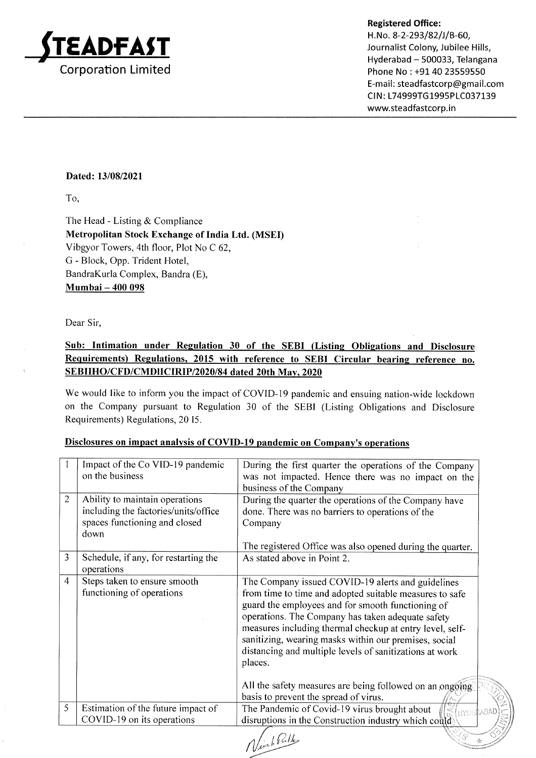

Hyderabad - 500033, Telangana Phone No : +91 40 23559550 E-mail: steadfastcorp@gmail.com CIN: L74999TG1995PLC037139 www.steadfastcorp.in

t-

### Dated: 13/08/2021

To,

The Head - Listing & Compliance Metropolitan Stock Exchange of India Ltd. (MSED Vibgyor Towers, 4th floor, Plot No C 62, G - Block, Opp. Trident Hotel, BandraKurla Complex, Bandra (E), Mumbai - 400 098

Dear Sir,

## Sub: Intimation under Regulation 30 of the SEBI (Listing Obligations and Disclosure Requirements) Regulations, 2015 with reference to SEBI Circular bearing reference no. SEBIIHO/CFD/CMDIICIRIP/2020/84 dated 20th May, 2020

We would like to inform you the impact of COVID-19 pandemic and ensuing nation-wide lockdown on the Company pursuant to Regulation 30 of the SEBI (Listing Obligations and Disclosure Requirements) Regulations, 20 I5.

| Disclosures on impact analysis of COVID-19 pandemic on Company's operations |
|-----------------------------------------------------------------------------|
|                                                                             |

|                | Impact of the Co VID-19 pandemic<br>on the business                                                             | During the first quarter the operations of the Company<br>was not impacted. Hence there was no impact on the<br>business of the Company                                                                                                                                                                                                                                                                           |
|----------------|-----------------------------------------------------------------------------------------------------------------|-------------------------------------------------------------------------------------------------------------------------------------------------------------------------------------------------------------------------------------------------------------------------------------------------------------------------------------------------------------------------------------------------------------------|
| $\overline{2}$ | Ability to maintain operations<br>including the factories/units/office<br>spaces functioning and closed<br>down | During the quarter the operations of the Company have<br>done. There was no barriers to operations of the<br>Company                                                                                                                                                                                                                                                                                              |
| 3              | Schedule, if any, for restarting the                                                                            | The registered Office was also opened during the quarter.<br>As stated above in Point 2.                                                                                                                                                                                                                                                                                                                          |
|                | operations                                                                                                      |                                                                                                                                                                                                                                                                                                                                                                                                                   |
| $\overline{4}$ | Steps taken to ensure smooth<br>functioning of operations                                                       | The Company issued COVID-19 alerts and guidelines<br>from time to time and adopted suitable measures to safe<br>guard the employees and for smooth functioning of<br>operations. The Company has taken adequate safety<br>measures including thermal checkup at entry level, self-<br>sanitizing, wearing masks within our premises, social<br>distancing and multiple levels of sanitizations at work<br>places. |
|                |                                                                                                                 | All the safety measures are being followed on an ongoing<br>basis to prevent the spread of virus.                                                                                                                                                                                                                                                                                                                 |
| 5              | Estimation of the future impact of<br>COVID-19 on its operations                                                | The Pandemic of Covid-19 virus brought about<br>SE HYDERAR<br>disruptions in the Construction industry which could.                                                                                                                                                                                                                                                                                               |
|                |                                                                                                                 |                                                                                                                                                                                                                                                                                                                                                                                                                   |

Ninh Pulle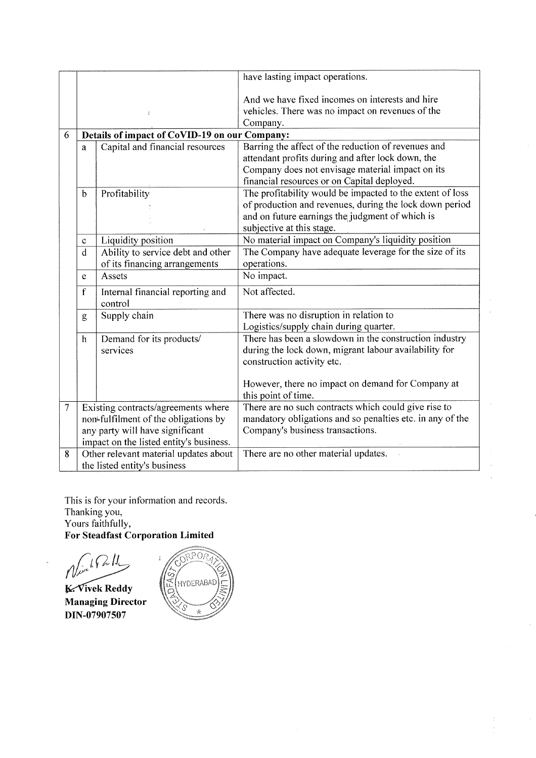|                |                                                                                                                                                           |                                                                    | have lasting impact operations.                                                                                                                                                                             |  |  |
|----------------|-----------------------------------------------------------------------------------------------------------------------------------------------------------|--------------------------------------------------------------------|-------------------------------------------------------------------------------------------------------------------------------------------------------------------------------------------------------------|--|--|
|                |                                                                                                                                                           |                                                                    | And we have fixed incomes on interests and hire<br>vehicles. There was no impact on revenues of the<br>Company.                                                                                             |  |  |
| 6              |                                                                                                                                                           | Details of impact of CoVID-19 on our Company:                      |                                                                                                                                                                                                             |  |  |
|                | a                                                                                                                                                         | Capital and financial resources                                    | Barring the affect of the reduction of revenues and<br>attendant profits during and after lock down, the<br>Company does not envisage material impact on its<br>financial resources or on Capital deployed. |  |  |
|                | $\mathbf b$                                                                                                                                               | Profitability                                                      | The profitability would be impacted to the extent of loss<br>of production and revenues, during the lock down period<br>and on future earnings the judgment of which is<br>subjective at this stage.        |  |  |
|                | $\mathbf c$                                                                                                                                               | Liquidity position                                                 | No material impact on Company's liquidity position                                                                                                                                                          |  |  |
|                | d                                                                                                                                                         | Ability to service debt and other<br>of its financing arrangements | The Company have adequate leverage for the size of its<br>operations.                                                                                                                                       |  |  |
|                | e                                                                                                                                                         | Assets                                                             | No impact.                                                                                                                                                                                                  |  |  |
|                | $\mathbf f$                                                                                                                                               | Internal financial reporting and<br>control                        | Not affected.                                                                                                                                                                                               |  |  |
|                | g                                                                                                                                                         | Supply chain                                                       | There was no disruption in relation to<br>Logistics/supply chain during quarter.                                                                                                                            |  |  |
|                | $\mathbf h$                                                                                                                                               | Demand for its products/<br>services                               | There has been a slowdown in the construction industry<br>during the lock down, migrant labour availability for<br>construction activity etc.                                                               |  |  |
|                |                                                                                                                                                           |                                                                    | However, there no impact on demand for Company at<br>this point of time.                                                                                                                                    |  |  |
| $\overline{7}$ | Existing contracts/agreements where<br>non-fulfilment of the obligations by<br>any party will have significant<br>impact on the listed entity's business. |                                                                    | There are no such contracts which could give rise to<br>mandatory obligations and so penalties etc. in any of the<br>Company's business transactions.                                                       |  |  |
| 8              | Other relevant material updates about<br>the listed entity's business                                                                                     |                                                                    | There are no other material updates.                                                                                                                                                                        |  |  |

 $\mathcal{L}$ 

This is for your information and records Thanking you, Yours faithfully, For Steadfast Corporation Limited

 $\ell'$  $\lambda$ 

Managing Director DIN-07907507 K. Vivek Reddy

ORPOA E HYDERABAD  $\frac{1}{N}$